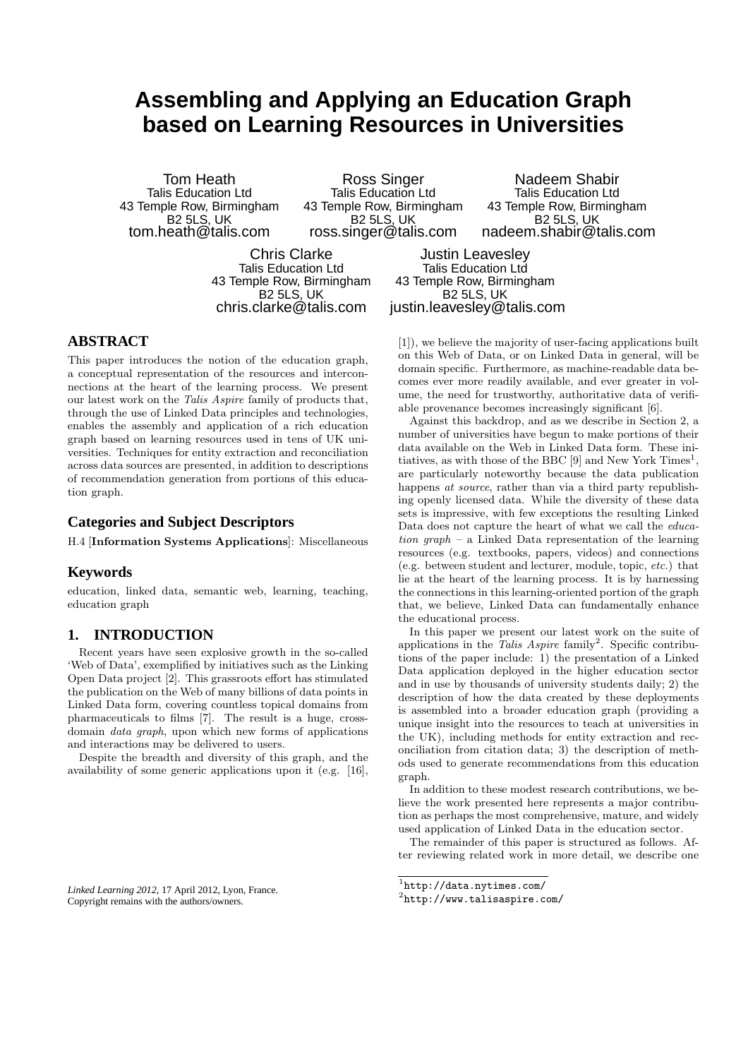# **Assembling and Applying an Education Graph based on Learning Resources in Universities**

Tom Heath Talis Education Ltd 43 Temple Row, Birmingham B2 5LS, UK tom.heath@talis.com

Ross Singer Talis Education Ltd 43 Temple Row, Birmingham B2 5LS, UK ross.singer@talis.com

Chris Clarke Talis Education Ltd 43 Temple Row, Birmingham B2 5LS, UK chris.clarke@talis.com

Nadeem Shabir Talis Education Ltd 43 Temple Row, Birmingham B2 5LS, UK nadeem.shabir@talis.com

Justin Leavesley Talis Education Ltd 43 Temple Row, Birmingham B2 5LS, UK justin.leavesley@talis.com

# **ABSTRACT**

This paper introduces the notion of the education graph, a conceptual representation of the resources and interconnections at the heart of the learning process. We present our latest work on the *Talis Aspire* family of products that, through the use of Linked Data principles and technologies, enables the assembly and application of a rich education graph based on learning resources used in tens of UK universities. Techniques for entity extraction and reconciliation across data sources are presented, in addition to descriptions of recommendation generation from portions of this education graph.

## **Categories and Subject Descriptors**

H.4 [Information Systems Applications]: Miscellaneous

# **Keywords**

education, linked data, semantic web, learning, teaching, education graph

# **1. INTRODUCTION**

Recent years have seen explosive growth in the so-called 'Web of Data', exemplified by initiatives such as the Linking Open Data project [2]. This grassroots effort has stimulated the publication on the Web of many billions of data points in Linked Data form, covering countless topical domains from pharmaceuticals to films [7]. The result is a huge, crossdomain *data graph*, upon which new forms of applications and interactions may be delivered to users.

Despite the breadth and diversity of this graph, and the availability of some generic applications upon it (e.g. [16],

*Linked Learning 2012,* 17 April 2012, Lyon, France. Copyright remains with the authors/owners.

[1]), we believe the majority of user-facing applications built on this Web of Data, or on Linked Data in general, will be domain specific. Furthermore, as machine-readable data becomes ever more readily available, and ever greater in volume, the need for trustworthy, authoritative data of verifiable provenance becomes increasingly significant [6].

Against this backdrop, and as we describe in Section 2, a number of universities have begun to make portions of their data available on the Web in Linked Data form. These initiatives, as with those of the BBC  $[9]$  and New York Times<sup>1</sup>, are particularly noteworthy because the data publication happens *at source*, rather than via a third party republishing openly licensed data. While the diversity of these data sets is impressive, with few exceptions the resulting Linked Data does not capture the heart of what we call the *education graph* – a Linked Data representation of the learning resources (e.g. textbooks, papers, videos) and connections (e.g. between student and lecturer, module, topic, *etc.*) that lie at the heart of the learning process. It is by harnessing the connections in this learning-oriented portion of the graph that, we believe, Linked Data can fundamentally enhance the educational process.

In this paper we present our latest work on the suite of applications in the *Talis Aspire* family<sup>2</sup>. Specific contributions of the paper include: 1) the presentation of a Linked Data application deployed in the higher education sector and in use by thousands of university students daily; 2) the description of how the data created by these deployments is assembled into a broader education graph (providing a unique insight into the resources to teach at universities in the UK), including methods for entity extraction and reconciliation from citation data; 3) the description of methods used to generate recommendations from this education graph.

In addition to these modest research contributions, we believe the work presented here represents a major contribution as perhaps the most comprehensive, mature, and widely used application of Linked Data in the education sector.

The remainder of this paper is structured as follows. After reviewing related work in more detail, we describe one

 $\frac{1}{1}$ http://data.nytimes.com/

<sup>2</sup> http://www.talisaspire.com/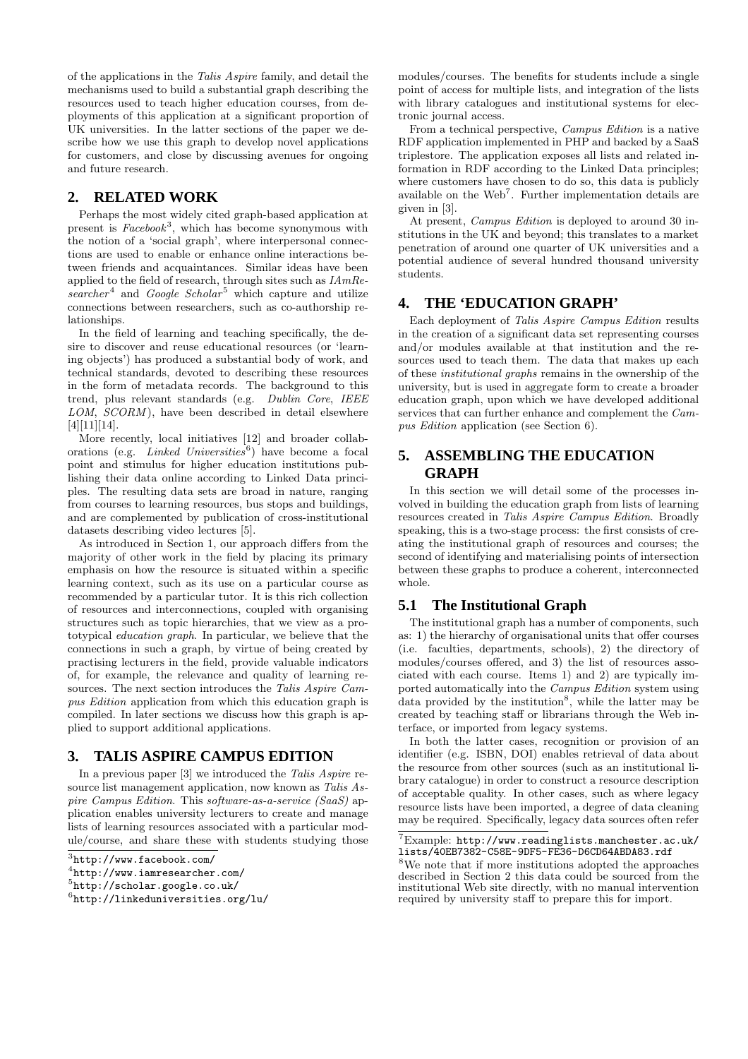of the applications in the *Talis Aspire* family, and detail the mechanisms used to build a substantial graph describing the resources used to teach higher education courses, from deployments of this application at a significant proportion of UK universities. In the latter sections of the paper we describe how we use this graph to develop novel applications for customers, and close by discussing avenues for ongoing and future research.

# **2. RELATED WORK**

Perhaps the most widely cited graph-based application at present is  $Facebook^3$ , which has become synonymous with the notion of a 'social graph', where interpersonal connections are used to enable or enhance online interactions between friends and acquaintances. Similar ideas have been applied to the field of research, through sites such as *IAmRe*searcher<sup>4</sup> and *Google Scholar*<sup>5</sup> which capture and utilize connections between researchers, such as co-authorship relationships.

In the field of learning and teaching specifically, the desire to discover and reuse educational resources (or 'learning objects') has produced a substantial body of work, and technical standards, devoted to describing these resources in the form of metadata records. The background to this trend, plus relevant standards (e.g. *Dublin Core*, *IEEE LOM*, *SCORM* ), have been described in detail elsewhere [4][11][14].

More recently, local initiatives [12] and broader collaborations (e.g. *Linked Universities*<sup>6</sup> ) have become a focal point and stimulus for higher education institutions publishing their data online according to Linked Data principles. The resulting data sets are broad in nature, ranging from courses to learning resources, bus stops and buildings, and are complemented by publication of cross-institutional datasets describing video lectures [5].

As introduced in Section 1, our approach differs from the majority of other work in the field by placing its primary emphasis on how the resource is situated within a specific learning context, such as its use on a particular course as recommended by a particular tutor. It is this rich collection of resources and interconnections, coupled with organising structures such as topic hierarchies, that we view as a prototypical *education graph*. In particular, we believe that the connections in such a graph, by virtue of being created by practising lecturers in the field, provide valuable indicators of, for example, the relevance and quality of learning resources. The next section introduces the *Talis Aspire Campus Edition* application from which this education graph is compiled. In later sections we discuss how this graph is applied to support additional applications.

# **3. TALIS ASPIRE CAMPUS EDITION**

In a previous paper [3] we introduced the *Talis Aspire* resource list management application, now known as *Talis Aspire Campus Edition*. This *software-as-a-service (SaaS)* application enables university lecturers to create and manage lists of learning resources associated with a particular module/course, and share these with students studying those

modules/courses. The benefits for students include a single point of access for multiple lists, and integration of the lists with library catalogues and institutional systems for electronic journal access.

From a technical perspective, *Campus Edition* is a native RDF application implemented in PHP and backed by a SaaS triplestore. The application exposes all lists and related information in RDF according to the Linked Data principles; where customers have chosen to do so, this data is publicly available on the Web<sup>7</sup>. Further implementation details are given in [3].

At present, *Campus Edition* is deployed to around 30 institutions in the UK and beyond; this translates to a market penetration of around one quarter of UK universities and a potential audience of several hundred thousand university students.

## **4. THE 'EDUCATION GRAPH'**

Each deployment of *Talis Aspire Campus Edition* results in the creation of a significant data set representing courses and/or modules available at that institution and the resources used to teach them. The data that makes up each of these *institutional graphs* remains in the ownership of the university, but is used in aggregate form to create a broader education graph, upon which we have developed additional services that can further enhance and complement the *Campus Edition* application (see Section 6).

# **5. ASSEMBLING THE EDUCATION GRAPH**

In this section we will detail some of the processes involved in building the education graph from lists of learning resources created in *Talis Aspire Campus Edition*. Broadly speaking, this is a two-stage process: the first consists of creating the institutional graph of resources and courses; the second of identifying and materialising points of intersection between these graphs to produce a coherent, interconnected whole.

# **5.1 The Institutional Graph**

The institutional graph has a number of components, such as: 1) the hierarchy of organisational units that offer courses (i.e. faculties, departments, schools), 2) the directory of modules/courses offered, and 3) the list of resources associated with each course. Items 1) and 2) are typically imported automatically into the *Campus Edition* system using data provided by the institution<sup>8</sup>, while the latter may be created by teaching staff or librarians through the Web interface, or imported from legacy systems.

In both the latter cases, recognition or provision of an identifier (e.g. ISBN, DOI) enables retrieval of data about the resource from other sources (such as an institutional library catalogue) in order to construct a resource description of acceptable quality. In other cases, such as where legacy resource lists have been imported, a degree of data cleaning may be required. Specifically, legacy data sources often refer

<sup>8</sup>We note that if more institutions adopted the approaches described in Section 2 this data could be sourced from the institutional Web site directly, with no manual intervention required by university staff to prepare this for import.

 $3$ http://www.facebook.com/

<sup>4</sup> http://www.iamresearcher.com/

<sup>5</sup> http://scholar.google.co.uk/

<sup>6</sup> http://linkeduniversities.org/lu/

 $7\,\mathrm{Example:}\,\,\mathrm{http://www.readinglists.manchester.ac.uk/}$ lists/40EB7382-C58E-9DF5-FE36-D6CD64ABDA83.rdf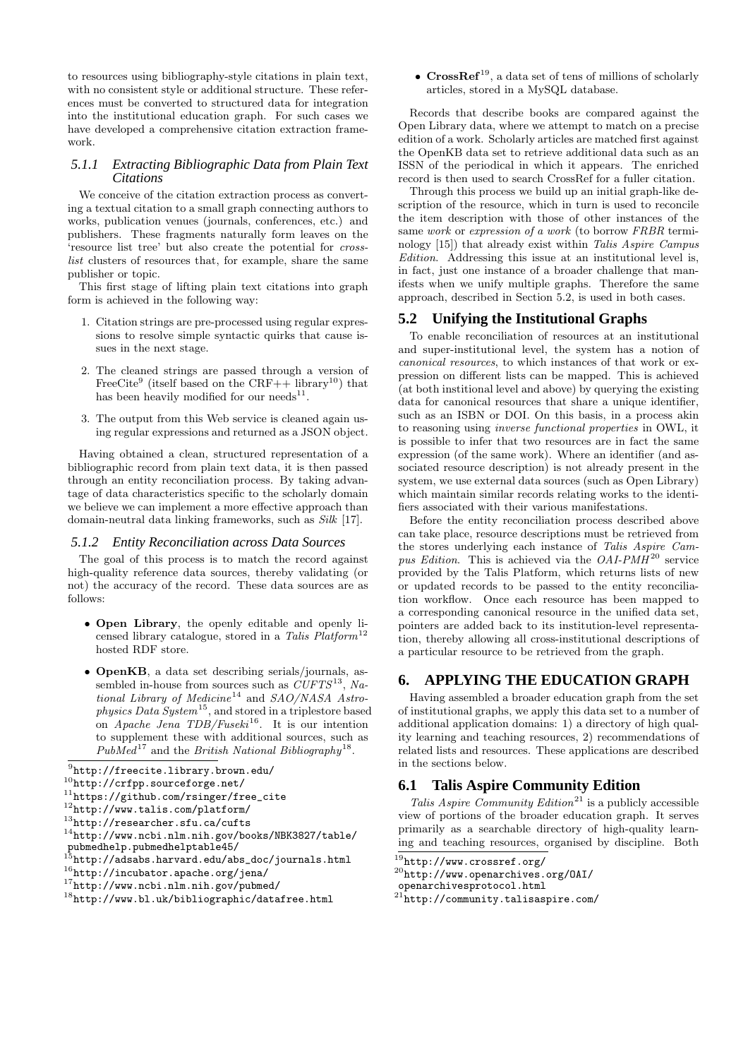to resources using bibliography-style citations in plain text, with no consistent style or additional structure. These references must be converted to structured data for integration into the institutional education graph. For such cases we have developed a comprehensive citation extraction framework.

#### *5.1.1 Extracting Bibliographic Data from Plain Text Citations*

We conceive of the citation extraction process as converting a textual citation to a small graph connecting authors to works, publication venues (journals, conferences, etc.) and publishers. These fragments naturally form leaves on the 'resource list tree' but also create the potential for *crosslist* clusters of resources that, for example, share the same publisher or topic.

This first stage of lifting plain text citations into graph form is achieved in the following way:

- 1. Citation strings are pre-processed using regular expressions to resolve simple syntactic quirks that cause issues in the next stage.
- 2. The cleaned strings are passed through a version of FreeCite<sup>9</sup> (itself based on the CRF++ library<sup>10</sup>) that has been heavily modified for our needs<sup>11</sup>.
- 3. The output from this Web service is cleaned again using regular expressions and returned as a JSON object.

Having obtained a clean, structured representation of a bibliographic record from plain text data, it is then passed through an entity reconciliation process. By taking advantage of data characteristics specific to the scholarly domain we believe we can implement a more effective approach than domain-neutral data linking frameworks, such as *Silk* [17].

#### *5.1.2 Entity Reconciliation across Data Sources*

The goal of this process is to match the record against high-quality reference data sources, thereby validating (or not) the accuracy of the record. These data sources are as follows:

- Open Library, the openly editable and openly licensed library catalogue, stored in a *Talis Platform*<sup>12</sup> hosted RDF store.
- OpenKB, a data set describing serials/journals, assembled in-house from sources such as  $\overset{\sim}{C}UFTS^{13}$ , Na*tional Library of Medicine*<sup>14</sup> and *SAO/NASA Astrophysics Data System*<sup>15</sup>, and stored in a triplestore based on *Apache Jena TDB/Fuseki*<sup>16</sup>. It is our intention to supplement these with additional sources, such as PubMed<sup>17</sup> and the *British National Bibliography*<sup>18</sup>.

•  $CrossRef^{19}$ , a data set of tens of millions of scholarly articles, stored in a MySQL database.

Records that describe books are compared against the Open Library data, where we attempt to match on a precise edition of a work. Scholarly articles are matched first against the OpenKB data set to retrieve additional data such as an ISSN of the periodical in which it appears. The enriched record is then used to search CrossRef for a fuller citation.

Through this process we build up an initial graph-like description of the resource, which in turn is used to reconcile the item description with those of other instances of the same *work* or *expression of a work* (to borrow *FRBR* terminology [15]) that already exist within *Talis Aspire Campus Edition*. Addressing this issue at an institutional level is, in fact, just one instance of a broader challenge that manifests when we unify multiple graphs. Therefore the same approach, described in Section 5.2, is used in both cases.

#### **5.2 Unifying the Institutional Graphs**

To enable reconciliation of resources at an institutional and super-institutional level, the system has a notion of *canonical resources*, to which instances of that work or expression on different lists can be mapped. This is achieved (at both institional level and above) by querying the existing data for canonical resources that share a unique identifier, such as an ISBN or DOI. On this basis, in a process akin to reasoning using *inverse functional properties* in OWL, it is possible to infer that two resources are in fact the same expression (of the same work). Where an identifier (and associated resource description) is not already present in the system, we use external data sources (such as Open Library) which maintain similar records relating works to the identifiers associated with their various manifestations.

Before the entity reconciliation process described above can take place, resource descriptions must be retrieved from the stores underlying each instance of *Talis Aspire Campus Edition*. This is achieved via the *OAI-PMH* <sup>20</sup> service provided by the Talis Platform, which returns lists of new or updated records to be passed to the entity reconciliation workflow. Once each resource has been mapped to a corresponding canonical resource in the unified data set, pointers are added back to its institution-level representation, thereby allowing all cross-institutional descriptions of a particular resource to be retrieved from the graph.

# **6. APPLYING THE EDUCATION GRAPH**

Having assembled a broader education graph from the set of institutional graphs, we apply this data set to a number of additional application domains: 1) a directory of high quality learning and teaching resources, 2) recommendations of related lists and resources. These applications are described in the sections below.

# **6.1 Talis Aspire Community Edition**

*Talis Aspire Community Edition*<sup>21</sup> is a publicly accessible view of portions of the broader education graph. It serves primarily as a searchable directory of high-quality learning and teaching resources, organised by discipline. Both

 $^{9}$ http://freecite.library.brown.edu/

 $^{10}$ http://crfpp.sourceforge.net/

<sup>11</sup>https://github.com/rsinger/free\_cite

<sup>12</sup>http://www.talis.com/platform/

<sup>13</sup>http://researcher.sfu.ca/cufts

 $14$ http://www.ncbi.nlm.nih.gov/books/NBK3827/table/ pubmedhelp.pubmedhelptable45/

 $\delta$ http://adsabs.harvard.edu/abs\_doc/journals.html

 $^{16}\text{http://incubator.append.erg/jena/}$ 

<sup>17</sup>http://www.ncbi.nlm.nih.gov/pubmed/

<sup>18</sup>http://www.bl.uk/bibliographic/datafree.html

 $19\overline{9}$ http://www.crossref.org/

<sup>20</sup>http://www.openarchives.org/OAI/

openarchivesprotocol.html

<sup>21</sup>http://community.talisaspire.com/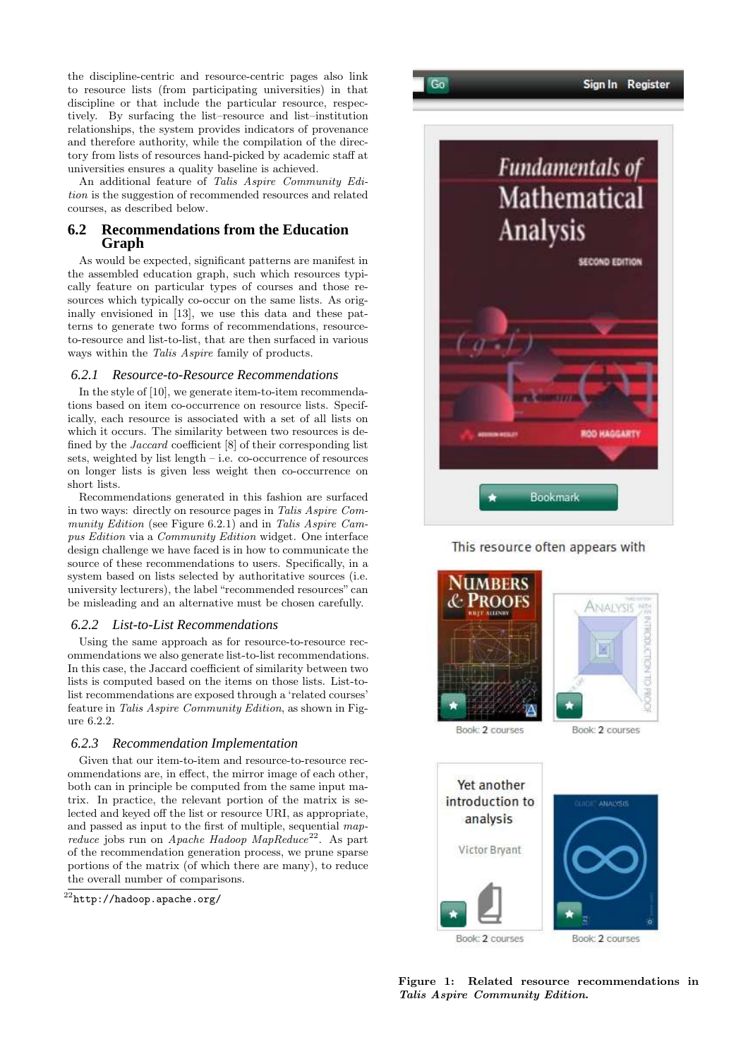the discipline-centric and resource-centric pages also link to resource lists (from participating universities) in that discipline or that include the particular resource, respectively. By surfacing the list–resource and list–institution relationships, the system provides indicators of provenance and therefore authority, while the compilation of the directory from lists of resources hand-picked by academic staff at universities ensures a quality baseline is achieved.

An additional feature of *Talis Aspire Community Edition* is the suggestion of recommended resources and related courses, as described below.

# **6.2 Recommendations from the Education Graph**

As would be expected, significant patterns are manifest in the assembled education graph, such which resources typically feature on particular types of courses and those resources which typically co-occur on the same lists. As originally envisioned in [13], we use this data and these patterns to generate two forms of recommendations, resourceto-resource and list-to-list, that are then surfaced in various ways within the *Talis Aspire* family of products.

#### *6.2.1 Resource-to-Resource Recommendations*

In the style of [10], we generate item-to-item recommendations based on item co-occurrence on resource lists. Specifically, each resource is associated with a set of all lists on which it occurs. The similarity between two resources is defined by the *Jaccard* coefficient [8] of their corresponding list sets, weighted by list length – i.e. co-occurrence of resources on longer lists is given less weight then co-occurrence on short lists.

Recommendations generated in this fashion are surfaced in two ways: directly on resource pages in *Talis Aspire Community Edition* (see Figure 6.2.1) and in *Talis Aspire Campus Edition* via a *Community Edition* widget. One interface design challenge we have faced is in how to communicate the source of these recommendations to users. Specifically, in a system based on lists selected by authoritative sources (i.e. university lecturers), the label "recommended resources" can be misleading and an alternative must be chosen carefully.

#### *6.2.2 List-to-List Recommendations*

Using the same approach as for resource-to-resource recommendations we also generate list-to-list recommendations. In this case, the Jaccard coefficient of similarity between two lists is computed based on the items on those lists. List-tolist recommendations are exposed through a 'related courses' feature in *Talis Aspire Community Edition*, as shown in Figure 6.2.2.

#### *6.2.3 Recommendation Implementation*

Given that our item-to-item and resource-to-resource recommendations are, in effect, the mirror image of each other, both can in principle be computed from the same input matrix. In practice, the relevant portion of the matrix is selected and keyed off the list or resource URI, as appropriate, and passed as input to the first of multiple, sequential *mapreduce* jobs run on *Apache Hadoop MapReduce*<sup>22</sup>. As part of the recommendation generation process, we prune sparse portions of the matrix (of which there are many), to reduce the overall number of comparisons.





 $Gn$ 

This resource often appears with



Book: 2 courses

Book: 2 courses



Figure 1: Related resource recommendations in Talis Aspire Community Edition.

 $^{22}$ http://hadoop.apache.org/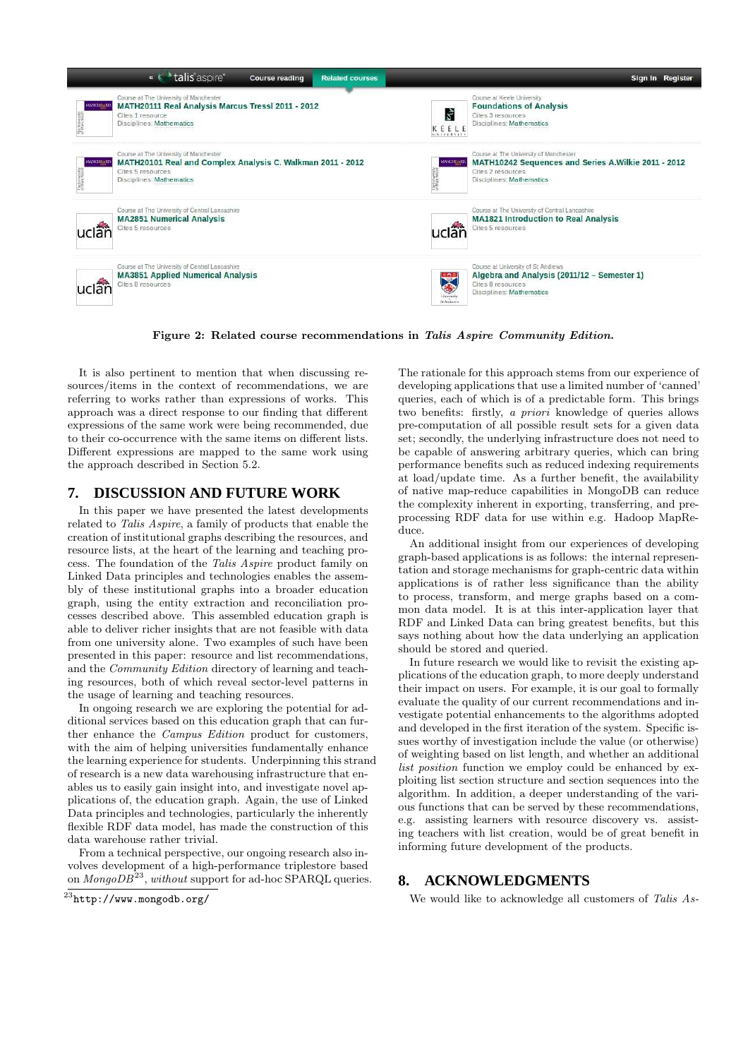

Figure 2: Related course recommendations in Talis Aspire Community Edition.

It is also pertinent to mention that when discussing resources/items in the context of recommendations, we are referring to works rather than expressions of works. This approach was a direct response to our finding that different expressions of the same work were being recommended, due to their co-occurrence with the same items on different lists. Different expressions are mapped to the same work using the approach described in Section 5.2.

#### **7. DISCUSSION AND FUTURE WORK**

In this paper we have presented the latest developments related to *Talis Aspire*, a family of products that enable the creation of institutional graphs describing the resources, and resource lists, at the heart of the learning and teaching process. The foundation of the *Talis Aspire* product family on Linked Data principles and technologies enables the assembly of these institutional graphs into a broader education graph, using the entity extraction and reconciliation processes described above. This assembled education graph is able to deliver richer insights that are not feasible with data from one university alone. Two examples of such have been presented in this paper: resource and list recommendations, and the *Community Edition* directory of learning and teaching resources, both of which reveal sector-level patterns in the usage of learning and teaching resources.

In ongoing research we are exploring the potential for additional services based on this education graph that can further enhance the *Campus Edition* product for customers, with the aim of helping universities fundamentally enhance the learning experience for students. Underpinning this strand of research is a new data warehousing infrastructure that enables us to easily gain insight into, and investigate novel applications of, the education graph. Again, the use of Linked Data principles and technologies, particularly the inherently flexible RDF data model, has made the construction of this data warehouse rather trivial.

From a technical perspective, our ongoing research also involves development of a high-performance triplestore based on *MongoDB*<sup>23</sup>, *without* support for ad-hoc SPARQL queries.

The rationale for this approach stems from our experience of developing applications that use a limited number of 'canned' queries, each of which is of a predictable form. This brings two benefits: firstly, *a priori* knowledge of queries allows pre-computation of all possible result sets for a given data set; secondly, the underlying infrastructure does not need to be capable of answering arbitrary queries, which can bring performance benefits such as reduced indexing requirements at load/update time. As a further benefit, the availability of native map-reduce capabilities in MongoDB can reduce the complexity inherent in exporting, transferring, and preprocessing RDF data for use within e.g. Hadoop MapReduce.

An additional insight from our experiences of developing graph-based applications is as follows: the internal representation and storage mechanisms for graph-centric data within applications is of rather less significance than the ability to process, transform, and merge graphs based on a common data model. It is at this inter-application layer that RDF and Linked Data can bring greatest benefits, but this says nothing about how the data underlying an application should be stored and queried.

In future research we would like to revisit the existing applications of the education graph, to more deeply understand their impact on users. For example, it is our goal to formally evaluate the quality of our current recommendations and investigate potential enhancements to the algorithms adopted and developed in the first iteration of the system. Specific issues worthy of investigation include the value (or otherwise) of weighting based on list length, and whether an additional *list position* function we employ could be enhanced by exploiting list section structure and section sequences into the algorithm. In addition, a deeper understanding of the various functions that can be served by these recommendations, e.g. assisting learners with resource discovery vs. assisting teachers with list creation, would be of great benefit in informing future development of the products.

# **8. ACKNOWLEDGMENTS**

We would like to acknowledge all customers of *Talis As-*

 $^{23}$ http://www.mongodb.org/